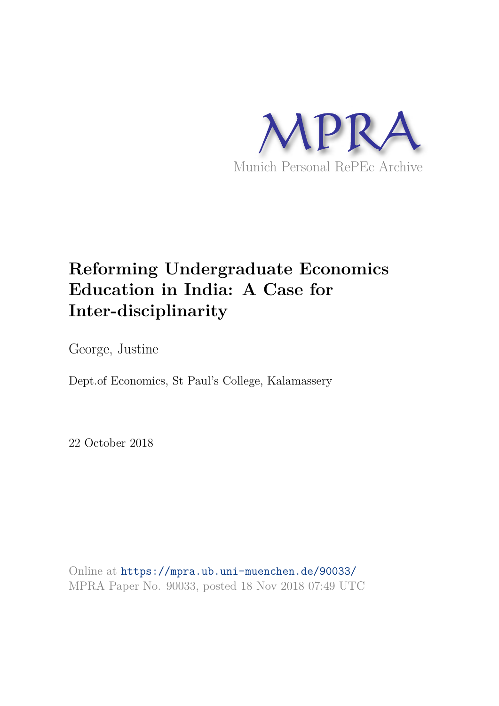

# **Reforming Undergraduate Economics Education in India: A Case for Inter-disciplinarity**

George, Justine

Dept.of Economics, St Paul's College, Kalamassery

22 October 2018

Online at https://mpra.ub.uni-muenchen.de/90033/ MPRA Paper No. 90033, posted 18 Nov 2018 07:49 UTC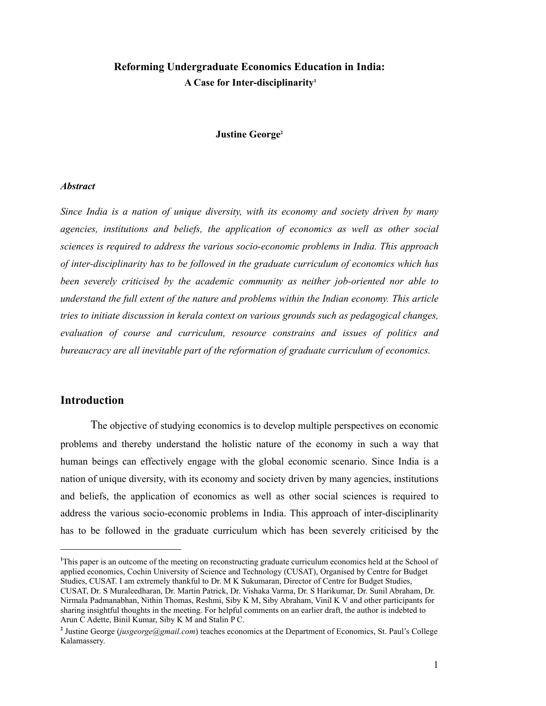## **Reforming Undergraduate Economics Education in India: A Case for Inter-disciplinarity<sup>1</sup>**

#### **Justine George<sup>2</sup>**

#### *Abstract*

*Since India is a nation of unique diversity, with its economy and society driven by many agencies, institutions and beliefs, the application of economics as well as other social sciences is required to address the various socio-economic problems in India. This approach of inter-disciplinarity has to be followed in the graduate curriculum of economics which has been severely criticised by the academic community as neither job-oriented nor able to understand the full extent of the nature and problems within the Indian economy. This article tries to initiate discussion in kerala context on various grounds such as pedagogical changes, evaluation of course and curriculum, resource constrains and issues of politics and bureaucracy are all inevitable part of the reformation of graduate curriculum of economics.*

## **Introduction**

The objective of studying economics is to develop multiple perspectives on economic problems and thereby understand the holistic nature of the economy in such a way that human beings can effectively engage with the global economic scenario. Since India is a nation of unique diversity, with its economy and society driven by many agencies, institutions and beliefs, the application of economics as well as other social sciences is required to address the various socio-economic problems in India. This approach of inter-disciplinarity has to be followed in the graduate curriculum which has been severely criticised by the

**<sup>1</sup>**This paper is an outcome of the meeting on reconstructing graduate curriculum economics held at the School of applied economics, Cochin University of Science and Technology (CUSAT), Organised by Centre for Budget Studies, CUSAT. I am extremely thankful to Dr. M K Sukumaran, Director of Centre for Budget Studies,

CUSAT, Dr. S Muraleedharan, Dr. Martin Patrick, Dr. Vishaka Varma, Dr. S Harikumar, Dr. Sunil Abraham, Dr. Nirmala Padmanabhan, Nithin Thomas, Reshmi, Siby K M, Siby Abraham, Vinil K V and other participants for sharing insightful thoughts in the meeting. For helpful comments on an earlier draft, the author is indebted to Arun C Adette, Binil Kumar, Siby K M and Stalin P C.

<sup>&</sup>lt;sup>2</sup> Justine George (*jusgeorge@gmail.com*) teaches economics at the Department of Economics, St. Paul's College Kalamassery.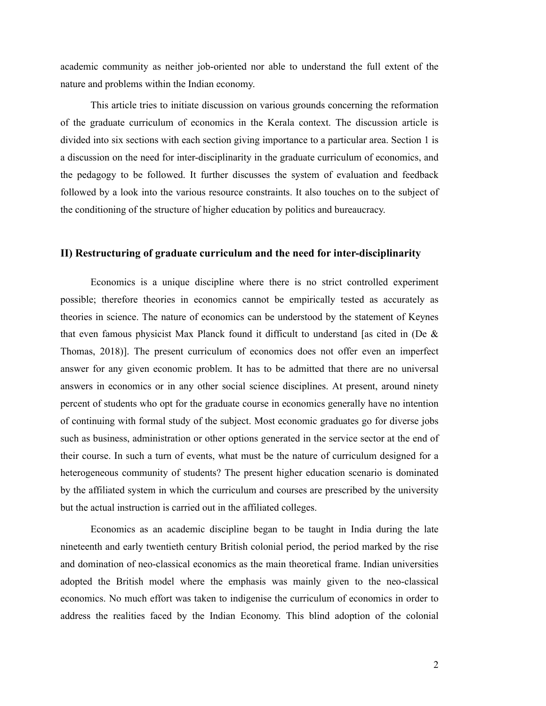academic community as neither job-oriented nor able to understand the full extent of the nature and problems within the Indian economy.

This article tries to initiate discussion on various grounds concerning the reformation of the graduate curriculum of economics in the Kerala context. The discussion article is divided into six sections with each section giving importance to a particular area. Section 1 is a discussion on the need for inter-disciplinarity in the graduate curriculum of economics, and the pedagogy to be followed. It further discusses the system of evaluation and feedback followed by a look into the various resource constraints. It also touches on to the subject of the conditioning of the structure of higher education by politics and bureaucracy.

#### **II) Restructuring of graduate curriculum and the need for inter-disciplinarity**

Economics is a unique discipline where there is no strict controlled experiment possible; therefore theories in economics cannot be empirically tested as accurately as theories in science. The nature of economics can be understood by the statement of Keynes that even famous physicist Max Planck found it difficult to understand [as cited in (De & Thomas, 2018)]. The present curriculum of economics does not offer even an imperfect answer for any given economic problem. It has to be admitted that there are no universal answers in economics or in any other social science disciplines. At present, around ninety percent of students who opt for the graduate course in economics generally have no intention of continuing with formal study of the subject. Most economic graduates go for diverse jobs such as business, administration or other options generated in the service sector at the end of their course. In such a turn of events, what must be the nature of curriculum designed for a heterogeneous community of students? The present higher education scenario is dominated by the affiliated system in which the curriculum and courses are prescribed by the university but the actual instruction is carried out in the affiliated colleges.

Economics as an academic discipline began to be taught in India during the late nineteenth and early twentieth century British colonial period, the period marked by the rise and domination of neo-classical economics as the main theoretical frame. Indian universities adopted the British model where the emphasis was mainly given to the neo-classical economics. No much effort was taken to indigenise the curriculum of economics in order to address the realities faced by the Indian Economy. This blind adoption of the colonial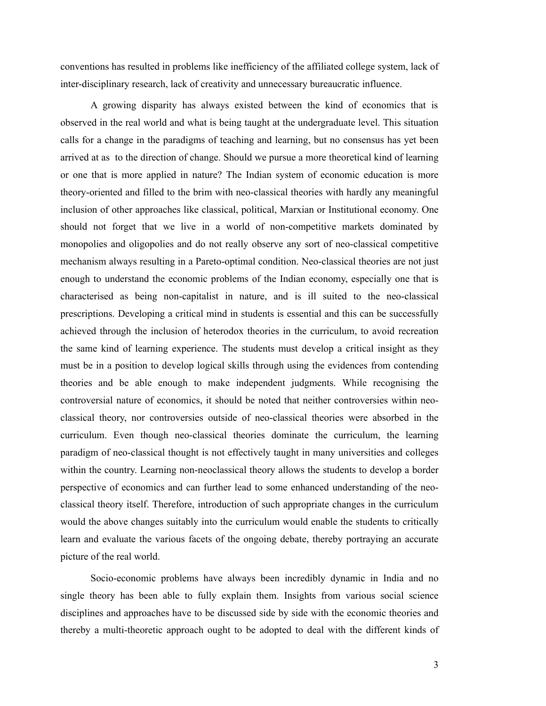conventions has resulted in problems like inefficiency of the affiliated college system, lack of inter-disciplinary research, lack of creativity and unnecessary bureaucratic influence.

A growing disparity has always existed between the kind of economics that is observed in the real world and what is being taught at the undergraduate level. This situation calls for a change in the paradigms of teaching and learning, but no consensus has yet been arrived at as to the direction of change. Should we pursue a more theoretical kind of learning or one that is more applied in nature? The Indian system of economic education is more theory-oriented and filled to the brim with neo-classical theories with hardly any meaningful inclusion of other approaches like classical, political, Marxian or Institutional economy. One should not forget that we live in a world of non-competitive markets dominated by monopolies and oligopolies and do not really observe any sort of neo-classical competitive mechanism always resulting in a Pareto-optimal condition. Neo-classical theories are not just enough to understand the economic problems of the Indian economy, especially one that is characterised as being non-capitalist in nature, and is ill suited to the neo-classical prescriptions. Developing a critical mind in students is essential and this can be successfully achieved through the inclusion of heterodox theories in the curriculum, to avoid recreation the same kind of learning experience. The students must develop a critical insight as they must be in a position to develop logical skills through using the evidences from contending theories and be able enough to make independent judgments. While recognising the controversial nature of economics, it should be noted that neither controversies within neoclassical theory, nor controversies outside of neo-classical theories were absorbed in the curriculum. Even though neo-classical theories dominate the curriculum, the learning paradigm of neo-classical thought is not effectively taught in many universities and colleges within the country. Learning non-neoclassical theory allows the students to develop a border perspective of economics and can further lead to some enhanced understanding of the neoclassical theory itself. Therefore, introduction of such appropriate changes in the curriculum would the above changes suitably into the curriculum would enable the students to critically learn and evaluate the various facets of the ongoing debate, thereby portraying an accurate picture of the real world.

Socio-economic problems have always been incredibly dynamic in India and no single theory has been able to fully explain them. Insights from various social science disciplines and approaches have to be discussed side by side with the economic theories and thereby a multi-theoretic approach ought to be adopted to deal with the different kinds of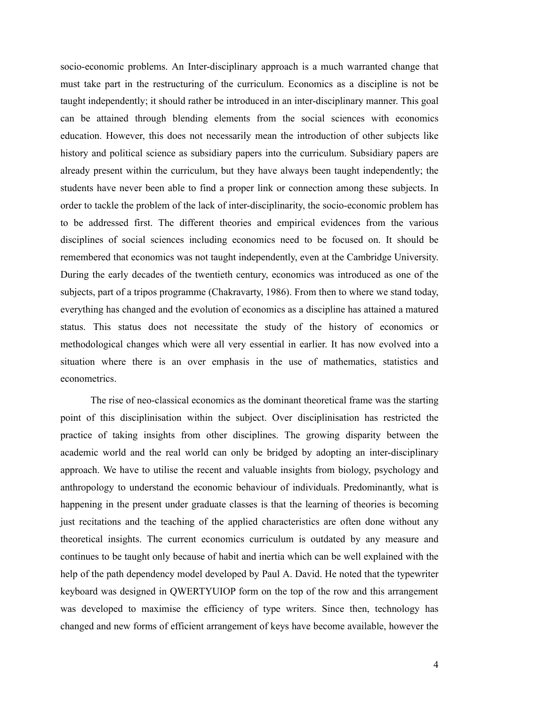socio-economic problems. An Inter-disciplinary approach is a much warranted change that must take part in the restructuring of the curriculum. Economics as a discipline is not be taught independently; it should rather be introduced in an inter-disciplinary manner. This goal can be attained through blending elements from the social sciences with economics education. However, this does not necessarily mean the introduction of other subjects like history and political science as subsidiary papers into the curriculum. Subsidiary papers are already present within the curriculum, but they have always been taught independently; the students have never been able to find a proper link or connection among these subjects. In order to tackle the problem of the lack of inter-disciplinarity, the socio-economic problem has to be addressed first. The different theories and empirical evidences from the various disciplines of social sciences including economics need to be focused on. It should be remembered that economics was not taught independently, even at the Cambridge University. During the early decades of the twentieth century, economics was introduced as one of the subjects, part of a tripos programme (Chakravarty, 1986). From then to where we stand today, everything has changed and the evolution of economics as a discipline has attained a matured status. This status does not necessitate the study of the history of economics or methodological changes which were all very essential in earlier. It has now evolved into a situation where there is an over emphasis in the use of mathematics, statistics and econometrics.

The rise of neo-classical economics as the dominant theoretical frame was the starting point of this disciplinisation within the subject. Over disciplinisation has restricted the practice of taking insights from other disciplines. The growing disparity between the academic world and the real world can only be bridged by adopting an inter-disciplinary approach. We have to utilise the recent and valuable insights from biology, psychology and anthropology to understand the economic behaviour of individuals. Predominantly, what is happening in the present under graduate classes is that the learning of theories is becoming just recitations and the teaching of the applied characteristics are often done without any theoretical insights. The current economics curriculum is outdated by any measure and continues to be taught only because of habit and inertia which can be well explained with the help of the path dependency model developed by Paul A. David. He noted that the typewriter keyboard was designed in QWERTYUIOP form on the top of the row and this arrangement was developed to maximise the efficiency of type writers. Since then, technology has changed and new forms of efficient arrangement of keys have become available, however the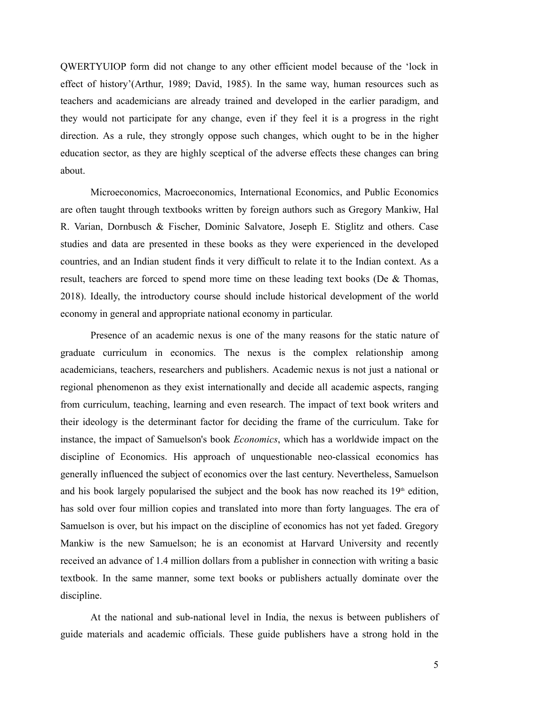QWERTYUIOP form did not change to any other efficient model because of the 'lock in effect of history'(Arthur, 1989; David, 1985). In the same way, human resources such as teachers and academicians are already trained and developed in the earlier paradigm, and they would not participate for any change, even if they feel it is a progress in the right direction. As a rule, they strongly oppose such changes, which ought to be in the higher education sector, as they are highly sceptical of the adverse effects these changes can bring about.

Microeconomics, Macroeconomics, International Economics, and Public Economics are often taught through textbooks written by foreign authors such as Gregory Mankiw, Hal R. Varian, Dornbusch & Fischer, Dominic Salvatore, Joseph E. Stiglitz and others. Case studies and data are presented in these books as they were experienced in the developed countries, and an Indian student finds it very difficult to relate it to the Indian context. As a result, teachers are forced to spend more time on these leading text books (De & Thomas, 2018). Ideally, the introductory course should include historical development of the world economy in general and appropriate national economy in particular.

Presence of an academic nexus is one of the many reasons for the static nature of graduate curriculum in economics. The nexus is the complex relationship among academicians, teachers, researchers and publishers. Academic nexus is not just a national or regional phenomenon as they exist internationally and decide all academic aspects, ranging from curriculum, teaching, learning and even research. The impact of text book writers and their ideology is the determinant factor for deciding the frame of the curriculum. Take for instance, the impact of Samuelson's book *Economics*, which has a worldwide impact on the discipline of Economics. His approach of unquestionable neo-classical economics has generally influenced the subject of economics over the last century. Nevertheless, Samuelson and his book largely popularised the subject and the book has now reached its  $19<sup>th</sup>$  edition, has sold over four million copies and translated into more than forty languages. The era of Samuelson is over, but his impact on the discipline of economics has not yet faded. Gregory Mankiw is the new Samuelson; he is an economist at Harvard University and recently received an advance of 1.4 million dollars from a publisher in connection with writing a basic textbook. In the same manner, some text books or publishers actually dominate over the discipline.

At the national and sub-national level in India, the nexus is between publishers of guide materials and academic officials. These guide publishers have a strong hold in the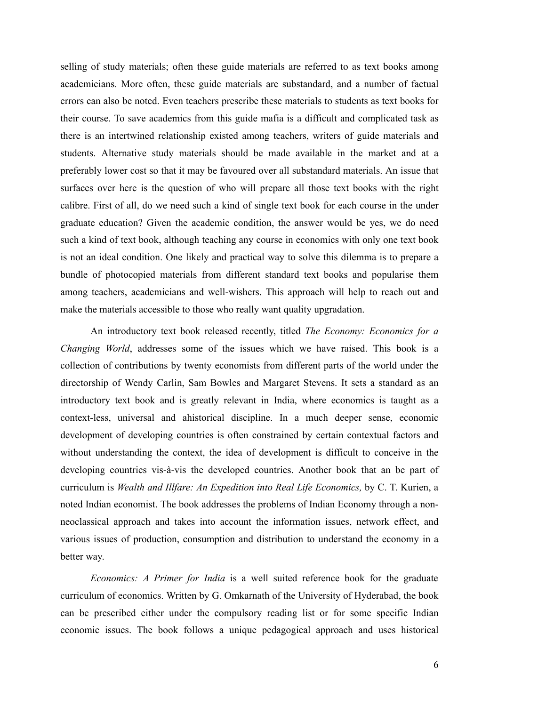selling of study materials; often these guide materials are referred to as text books among academicians. More often, these guide materials are substandard, and a number of factual errors can also be noted. Even teachers prescribe these materials to students as text books for their course. To save academics from this guide mafia is a difficult and complicated task as there is an intertwined relationship existed among teachers, writers of guide materials and students. Alternative study materials should be made available in the market and at a preferably lower cost so that it may be favoured over all substandard materials. An issue that surfaces over here is the question of who will prepare all those text books with the right calibre. First of all, do we need such a kind of single text book for each course in the under graduate education? Given the academic condition, the answer would be yes, we do need such a kind of text book, although teaching any course in economics with only one text book is not an ideal condition. One likely and practical way to solve this dilemma is to prepare a bundle of photocopied materials from different standard text books and popularise them among teachers, academicians and well-wishers. This approach will help to reach out and make the materials accessible to those who really want quality upgradation.

An introductory text book released recently, titled *The Economy: Economics for a Changing World*, addresses some of the issues which we have raised. This book is a collection of contributions by twenty economists from different parts of the world under the directorship of Wendy Carlin, Sam Bowles and Margaret Stevens. It sets a standard as an introductory text book and is greatly relevant in India, where economics is taught as a context-less, universal and ahistorical discipline. In a much deeper sense, economic development of developing countries is often constrained by certain contextual factors and without understanding the context, the idea of development is difficult to conceive in the developing countries vis-à-vis the developed countries. Another book that an be part of curriculum is *Wealth and Illfare: An Expedition into Real Life Economics,* by C. T. Kurien, a noted Indian economist. The book addresses the problems of Indian Economy through a nonneoclassical approach and takes into account the information issues, network effect, and various issues of production, consumption and distribution to understand the economy in a better way.

*Economics: A Primer for India* is a well suited reference book for the graduate curriculum of economics. Written by G. Omkarnath of the University of Hyderabad, the book can be prescribed either under the compulsory reading list or for some specific Indian economic issues. The book follows a unique pedagogical approach and uses historical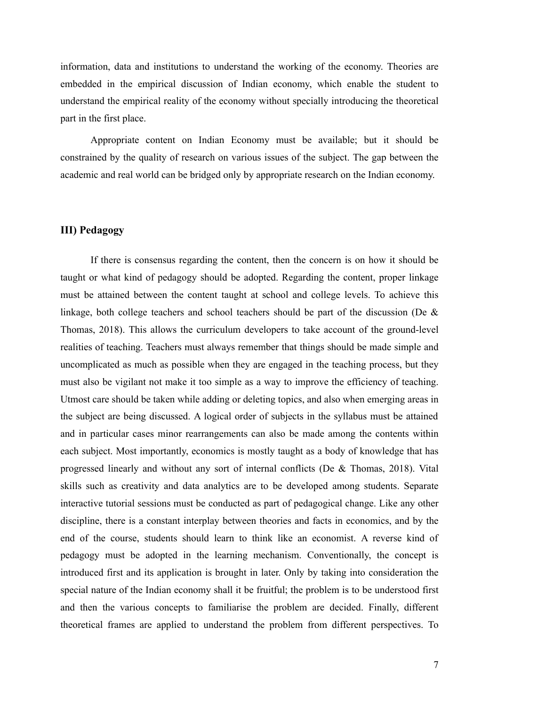information, data and institutions to understand the working of the economy. Theories are embedded in the empirical discussion of Indian economy, which enable the student to understand the empirical reality of the economy without specially introducing the theoretical part in the first place.

Appropriate content on Indian Economy must be available; but it should be constrained by the quality of research on various issues of the subject. The gap between the academic and real world can be bridged only by appropriate research on the Indian economy.

## **III) Pedagogy**

If there is consensus regarding the content, then the concern is on how it should be taught or what kind of pedagogy should be adopted. Regarding the content, proper linkage must be attained between the content taught at school and college levels. To achieve this linkage, both college teachers and school teachers should be part of the discussion (De  $\&$ Thomas, 2018). This allows the curriculum developers to take account of the ground-level realities of teaching. Teachers must always remember that things should be made simple and uncomplicated as much as possible when they are engaged in the teaching process, but they must also be vigilant not make it too simple as a way to improve the efficiency of teaching. Utmost care should be taken while adding or deleting topics, and also when emerging areas in the subject are being discussed. A logical order of subjects in the syllabus must be attained and in particular cases minor rearrangements can also be made among the contents within each subject. Most importantly, economics is mostly taught as a body of knowledge that has progressed linearly and without any sort of internal conflicts (De & Thomas, 2018). Vital skills such as creativity and data analytics are to be developed among students. Separate interactive tutorial sessions must be conducted as part of pedagogical change. Like any other discipline, there is a constant interplay between theories and facts in economics, and by the end of the course, students should learn to think like an economist. A reverse kind of pedagogy must be adopted in the learning mechanism. Conventionally, the concept is introduced first and its application is brought in later. Only by taking into consideration the special nature of the Indian economy shall it be fruitful; the problem is to be understood first and then the various concepts to familiarise the problem are decided. Finally, different theoretical frames are applied to understand the problem from different perspectives. To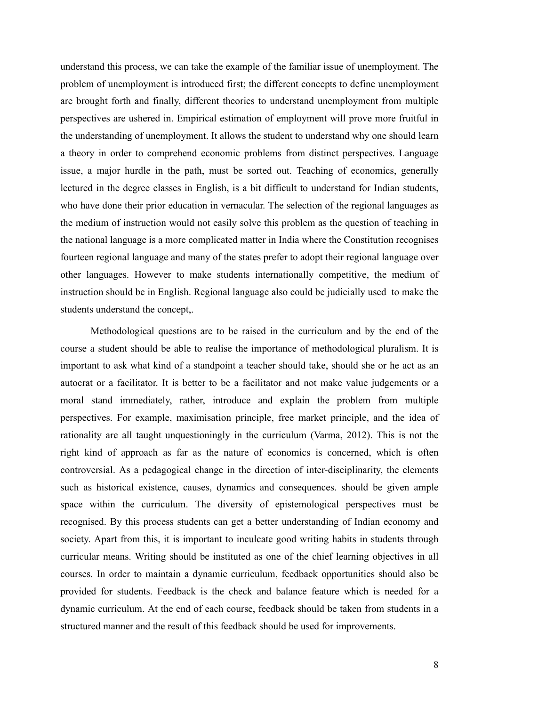understand this process, we can take the example of the familiar issue of unemployment. The problem of unemployment is introduced first; the different concepts to define unemployment are brought forth and finally, different theories to understand unemployment from multiple perspectives are ushered in. Empirical estimation of employment will prove more fruitful in the understanding of unemployment. It allows the student to understand why one should learn a theory in order to comprehend economic problems from distinct perspectives. Language issue, a major hurdle in the path, must be sorted out. Teaching of economics, generally lectured in the degree classes in English, is a bit difficult to understand for Indian students, who have done their prior education in vernacular. The selection of the regional languages as the medium of instruction would not easily solve this problem as the question of teaching in the national language is a more complicated matter in India where the Constitution recognises fourteen regional language and many of the states prefer to adopt their regional language over other languages. However to make students internationally competitive, the medium of instruction should be in English. Regional language also could be judicially used to make the students understand the concept,.

Methodological questions are to be raised in the curriculum and by the end of the course a student should be able to realise the importance of methodological pluralism. It is important to ask what kind of a standpoint a teacher should take, should she or he act as an autocrat or a facilitator. It is better to be a facilitator and not make value judgements or a moral stand immediately, rather, introduce and explain the problem from multiple perspectives. For example, maximisation principle, free market principle, and the idea of rationality are all taught unquestioningly in the curriculum (Varma, 2012). This is not the right kind of approach as far as the nature of economics is concerned, which is often controversial. As a pedagogical change in the direction of inter-disciplinarity, the elements such as historical existence, causes, dynamics and consequences. should be given ample space within the curriculum. The diversity of epistemological perspectives must be recognised. By this process students can get a better understanding of Indian economy and society. Apart from this, it is important to inculcate good writing habits in students through curricular means. Writing should be instituted as one of the chief learning objectives in all courses. In order to maintain a dynamic curriculum, feedback opportunities should also be provided for students. Feedback is the check and balance feature which is needed for a dynamic curriculum. At the end of each course, feedback should be taken from students in a structured manner and the result of this feedback should be used for improvements.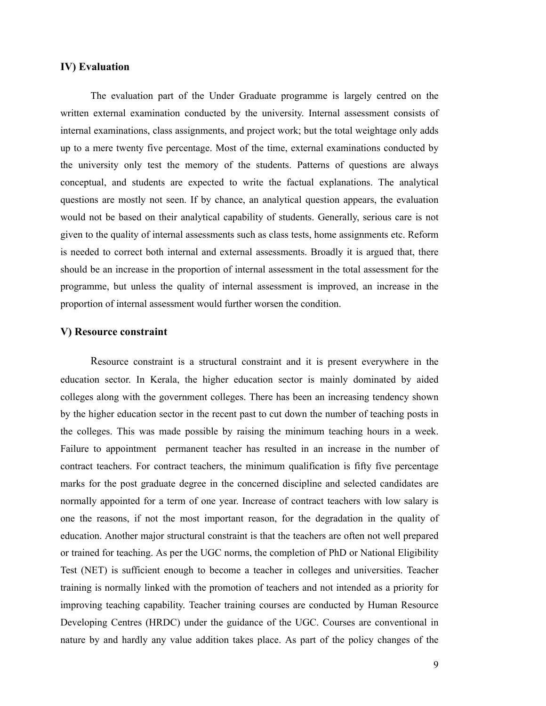#### **IV) Evaluation**

The evaluation part of the Under Graduate programme is largely centred on the written external examination conducted by the university. Internal assessment consists of internal examinations, class assignments, and project work; but the total weightage only adds up to a mere twenty five percentage. Most of the time, external examinations conducted by the university only test the memory of the students. Patterns of questions are always conceptual, and students are expected to write the factual explanations. The analytical questions are mostly not seen. If by chance, an analytical question appears, the evaluation would not be based on their analytical capability of students. Generally, serious care is not given to the quality of internal assessments such as class tests, home assignments etc. Reform is needed to correct both internal and external assessments. Broadly it is argued that, there should be an increase in the proportion of internal assessment in the total assessment for the programme, but unless the quality of internal assessment is improved, an increase in the proportion of internal assessment would further worsen the condition.

#### **V) Resource constraint**

Resource constraint is a structural constraint and it is present everywhere in the education sector. In Kerala, the higher education sector is mainly dominated by aided colleges along with the government colleges. There has been an increasing tendency shown by the higher education sector in the recent past to cut down the number of teaching posts in the colleges. This was made possible by raising the minimum teaching hours in a week. Failure to appointment permanent teacher has resulted in an increase in the number of contract teachers. For contract teachers, the minimum qualification is fifty five percentage marks for the post graduate degree in the concerned discipline and selected candidates are normally appointed for a term of one year. Increase of contract teachers with low salary is one the reasons, if not the most important reason, for the degradation in the quality of education. Another major structural constraint is that the teachers are often not well prepared or trained for teaching. As per the UGC norms, the completion of PhD or National Eligibility Test (NET) is sufficient enough to become a teacher in colleges and universities. Teacher training is normally linked with the promotion of teachers and not intended as a priority for improving teaching capability. Teacher training courses are conducted by Human Resource Developing Centres (HRDC) under the guidance of the UGC. Courses are conventional in nature by and hardly any value addition takes place. As part of the policy changes of the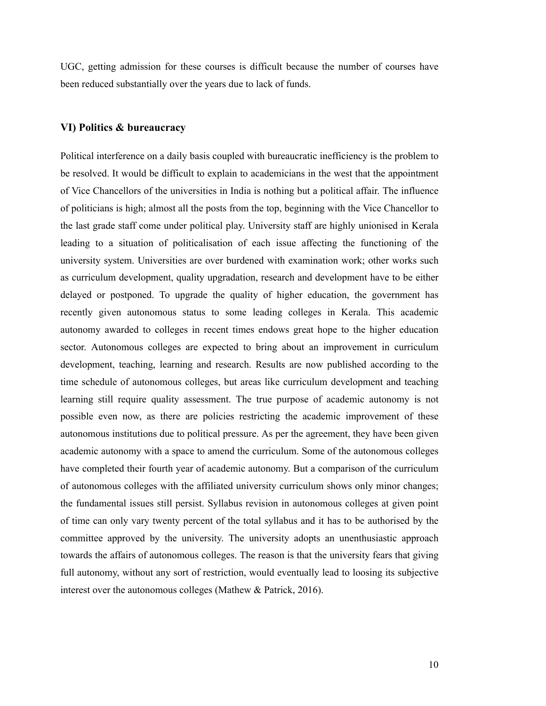UGC, getting admission for these courses is difficult because the number of courses have been reduced substantially over the years due to lack of funds.

## **VI) Politics & bureaucracy**

Political interference on a daily basis coupled with bureaucratic inefficiency is the problem to be resolved. It would be difficult to explain to academicians in the west that the appointment of Vice Chancellors of the universities in India is nothing but a political affair. The influence of politicians is high; almost all the posts from the top, beginning with the Vice Chancellor to the last grade staff come under political play. University staff are highly unionised in Kerala leading to a situation of politicalisation of each issue affecting the functioning of the university system. Universities are over burdened with examination work; other works such as curriculum development, quality upgradation, research and development have to be either delayed or postponed. To upgrade the quality of higher education, the government has recently given autonomous status to some leading colleges in Kerala. This academic autonomy awarded to colleges in recent times endows great hope to the higher education sector. Autonomous colleges are expected to bring about an improvement in curriculum development, teaching, learning and research. Results are now published according to the time schedule of autonomous colleges, but areas like curriculum development and teaching learning still require quality assessment. The true purpose of academic autonomy is not possible even now, as there are policies restricting the academic improvement of these autonomous institutions due to political pressure. As per the agreement, they have been given academic autonomy with a space to amend the curriculum. Some of the autonomous colleges have completed their fourth year of academic autonomy. But a comparison of the curriculum of autonomous colleges with the affiliated university curriculum shows only minor changes; the fundamental issues still persist. Syllabus revision in autonomous colleges at given point of time can only vary twenty percent of the total syllabus and it has to be authorised by the committee approved by the university. The university adopts an unenthusiastic approach towards the affairs of autonomous colleges. The reason is that the university fears that giving full autonomy, without any sort of restriction, would eventually lead to loosing its subjective interest over the autonomous colleges (Mathew & Patrick, 2016).